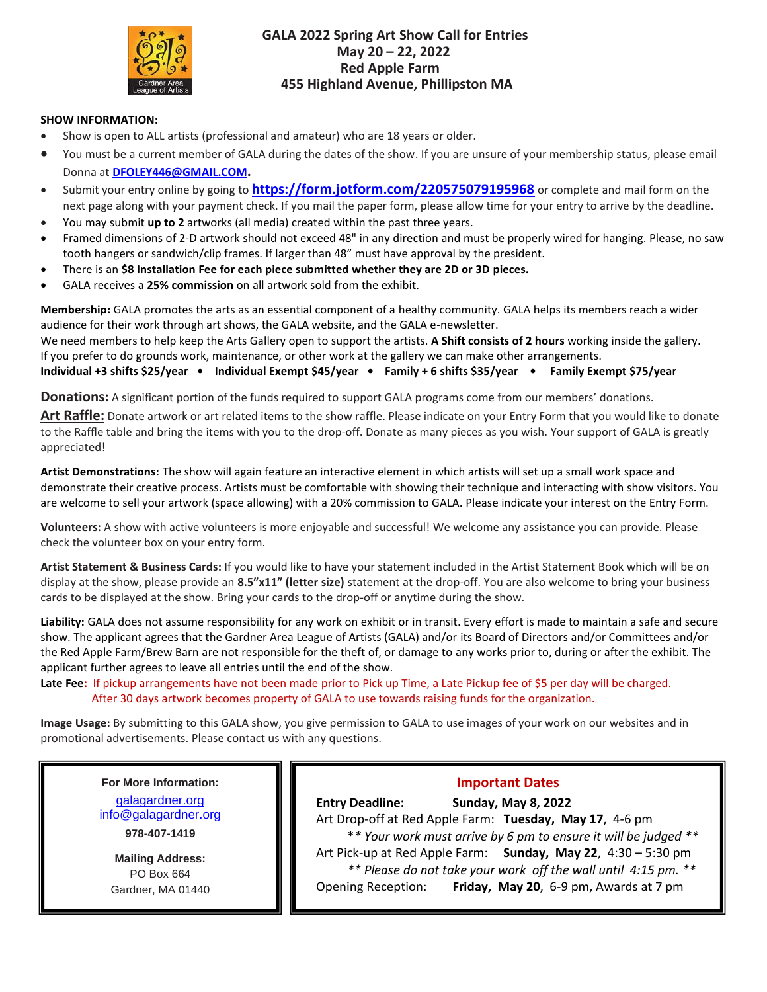

### **GALA 2022 Spring Art Show Call for Entries May 20 – 22, 2022 Red Apple Farm 455 Highland Avenue, Phillipston MA**

#### **SHOW INFORMATION:**

- Show is open to ALL artists (professional and amateur) who are 18 years or older.
- You must be a current member of GALA during the dates of the show. If you are unsure of your membership status, please email Donna at **[DFOLEY446@GMAIL.COM](mailto:DFOLEY446@GMAIL.COM).**
- Submit your entry online by going to **<https://form.jotform.com/220575079195968>** or complete and mail form on the next page along with your payment check. If you mail the paper form, please allow time for your entry to arrive by the deadline.
- You may submit **up to 2** artworks (all media) created within the past three years.
- Framed dimensions of 2-D artwork should not exceed 48" in any direction and must be properly wired for hanging. Please, no saw tooth hangers or sandwich/clip frames. If larger than 48" must have approval by the president.
- There is an **\$8 Installation Fee for each piece submitted whether they are 2D or 3D pieces.**
- GALA receives a **25% commission** on all artwork sold from the exhibit.

**Membership:** GALA promotes the arts as an essential component of a healthy community. GALA helps its members reach a wider audience for their work through art shows, the GALA website, and the GALA e-newsletter.

We need members to help keep the Arts Gallery open to support the artists. **A Shift consists of 2 hours** working inside the gallery. If you prefer to do grounds work, maintenance, or other work at the gallery we can make other arrangements.

**Individual +3 shifts \$25/year • Individual Exempt \$45/year • Family + 6 shifts \$35/year • Family Exempt \$75/year**

**Donations:** A significant portion of the funds required to support GALA programs come from our members' donations.

**Art Raffle:** Donate artwork or art related items to the show raffle. Please indicate on your Entry Form that you would like to donate to the Raffle table and bring the items with you to the drop-off. Donate as many pieces as you wish. Your support of GALA is greatly appreciated!

**Artist Demonstrations:** The show will again feature an interactive element in which artists will set up a small work space and demonstrate their creative process. Artists must be comfortable with showing their technique and interacting with show visitors. You are welcome to sell your artwork (space allowing) with a 20% commission to GALA. Please indicate your interest on the Entry Form.

**Volunteers:** A show with active volunteers is more enjoyable and successful! We welcome any assistance you can provide. Please check the volunteer box on your entry form.

**Artist Statement & Business Cards:** If you would like to have your statement included in the Artist Statement Book which will be on display at the show, please provide an **8.5"x11" (letter size)** statement at the drop-off. You are also welcome to bring your business cards to be displayed at the show. Bring your cards to the drop-off or anytime during the show.

**Liability:** GALA does not assume responsibility for any work on exhibit or in transit. Every effort is made to maintain a safe and secure show. The applicant agrees that the Gardner Area League of Artists (GALA) and/or its Board of Directors and/or Committees and/or the Red Apple Farm/Brew Barn are not responsible for the theft of, or damage to any works prior to, during or after the exhibit. The applicant further agrees to leave all entries until the end of the show.

**Late Fee:** If pickup arrangements have not been made prior to Pick up Time, a Late Pickup fee of \$5 per day will be charged. After 30 days artwork becomes property of GALA to use towards raising funds for the organization.

**Image Usage:** By submitting to this GALA show, you give permission to GALA to use images of your work on our websites and in promotional advertisements. Please contact us with any questions.

# **For More Information:**

[galagardner.org](http://galagardnerevents.weebly.com/) [info@galagardner.org](mailto:info@galagardner.org) **978-407-1419**

**Mailing Address:** PO Box 664 Gardner, MA 01440

### **Important Dates**

**Entry Deadline: Sunday, May 8, 2022** Art Drop-off at Red Apple Farm: **Tuesday, May 17**, 4-6 pm \**\* Your work must arrive by 6 pm to ensure it will be judged \*\** Art Pick-up at Red Apple Farm: **Sunday, May 22**, 4:30 – 5:30 pm  *\*\* Please do not take your work off the wall until 4:15 pm. \*\** Opening Reception: **Friday, May 20**, 6-9 pm, Awards at 7 pm